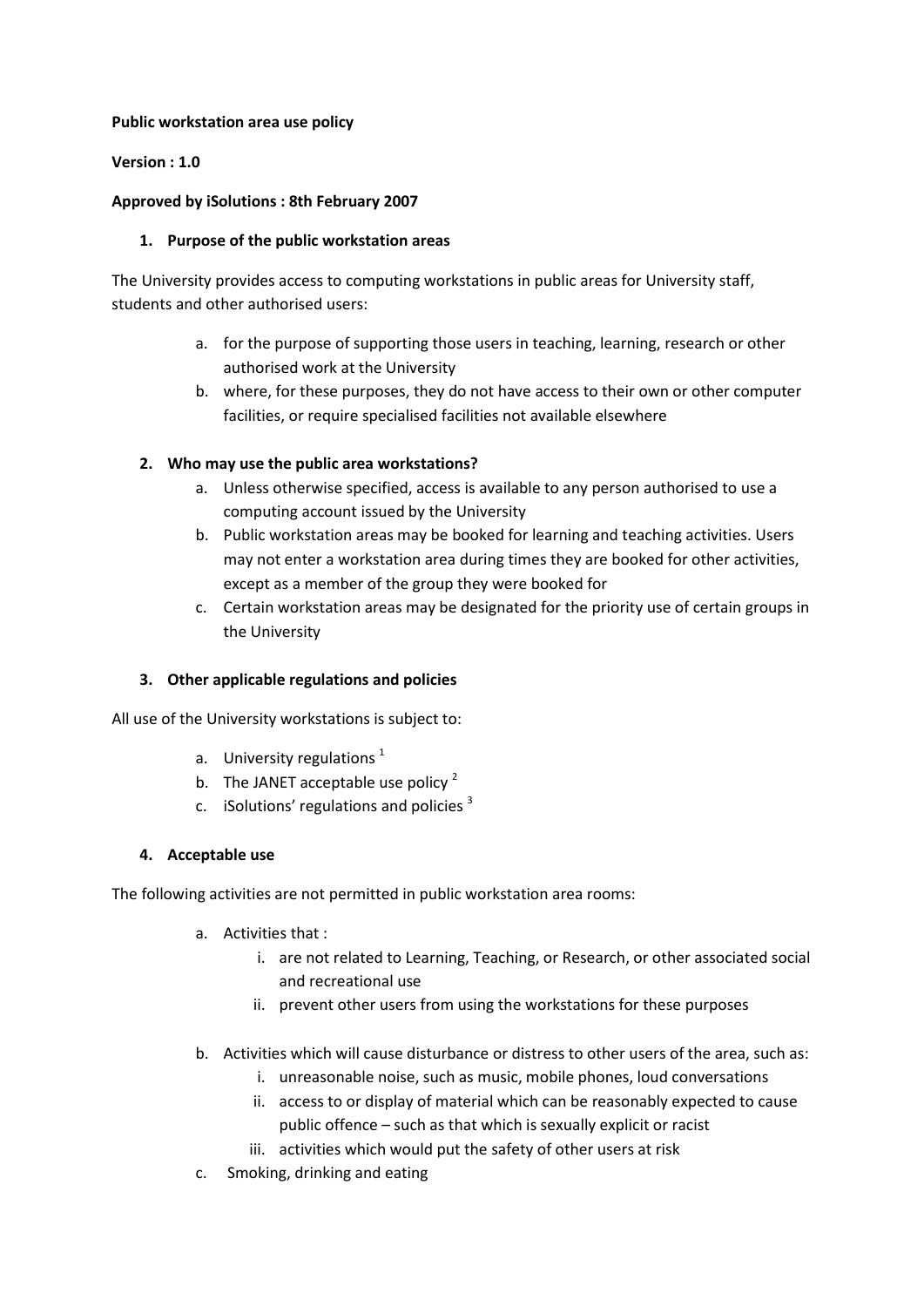#### **Public workstation area use policy**

### **Version : 1.0**

### **Approved by iSolutions : 8th February 2007**

#### **1. Purpose of the public workstation areas**

The University provides access to computing workstations in public areas for University staff, students and other authorised users:

- a. for the purpose of supporting those users in teaching, learning, research or other authorised work at the University
- b. where, for these purposes, they do not have access to their own or other computer facilities, or require specialised facilities not available elsewhere

## **2. Who may use the public area workstations?**

- a. Unless otherwise specified, access is available to any person authorised to use a computing account issued by the University
- b. Public workstation areas may be booked for learning and teaching activities. Users may not enter a workstation area during times they are booked for other activities, except as a member of the group they were booked for
- c. Certain workstation areas may be designated for the priority use of certain groups in the University

## **3. Other applicable regulations and policies**

All use of the University workstations is subject to:

- a. University regulations  $1$
- b. The JANET acceptable use policy  $2^2$
- c. iSolutions' regulations and policies  $3$

## **4. Acceptable use**

The following activities are not permitted in public workstation area rooms:

- a. Activities that :
	- i. are not related to Learning, Teaching, or Research, or other associated social and recreational use
	- ii. prevent other users from using the workstations for these purposes
- b. Activities which will cause disturbance or distress to other users of the area, such as:
	- i. unreasonable noise, such as music, mobile phones, loud conversations
	- ii. access to or display of material which can be reasonably expected to cause public offence – such as that which is sexually explicit or racist
	- iii. activities which would put the safety of other users at risk
- c. Smoking, drinking and eating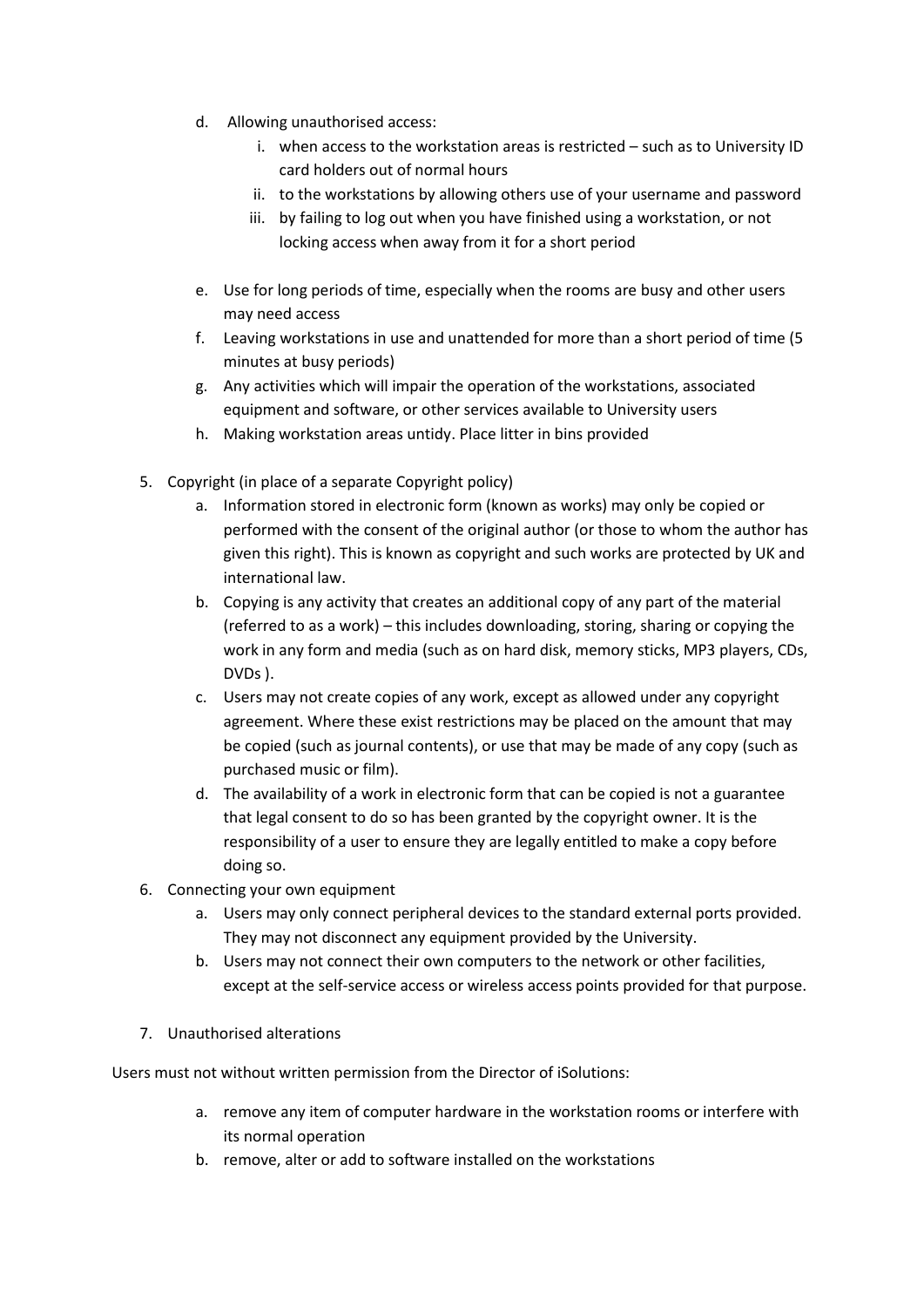- d. Allowing unauthorised access:
	- i. when access to the workstation areas is restricted such as to University ID card holders out of normal hours
	- ii. to the workstations by allowing others use of your username and password
	- iii. by failing to log out when you have finished using a workstation, or not locking access when away from it for a short period
- e. Use for long periods of time, especially when the rooms are busy and other users may need access
- f. Leaving workstations in use and unattended for more than a short period of time (5 minutes at busy periods)
- g. Any activities which will impair the operation of the workstations, associated equipment and software, or other services available to University users
- h. Making workstation areas untidy. Place litter in bins provided
- 5. Copyright (in place of a separate Copyright policy)
	- a. Information stored in electronic form (known as works) may only be copied or performed with the consent of the original author (or those to whom the author has given this right). This is known as copyright and such works are protected by UK and international law.
	- b. Copying is any activity that creates an additional copy of any part of the material (referred to as a work) – this includes downloading, storing, sharing or copying the work in any form and media (such as on hard disk, memory sticks, MP3 players, CDs, DVDs ).
	- c. Users may not create copies of any work, except as allowed under any copyright agreement. Where these exist restrictions may be placed on the amount that may be copied (such as journal contents), or use that may be made of any copy (such as purchased music or film).
	- d. The availability of a work in electronic form that can be copied is not a guarantee that legal consent to do so has been granted by the copyright owner. It is the responsibility of a user to ensure they are legally entitled to make a copy before doing so.
- 6. Connecting your own equipment
	- a. Users may only connect peripheral devices to the standard external ports provided. They may not disconnect any equipment provided by the University.
	- b. Users may not connect their own computers to the network or other facilities, except at the self-service access or wireless access points provided for that purpose.
- 7. Unauthorised alterations

Users must not without written permission from the Director of iSolutions:

- a. remove any item of computer hardware in the workstation rooms or interfere with its normal operation
- b. remove, alter or add to software installed on the workstations